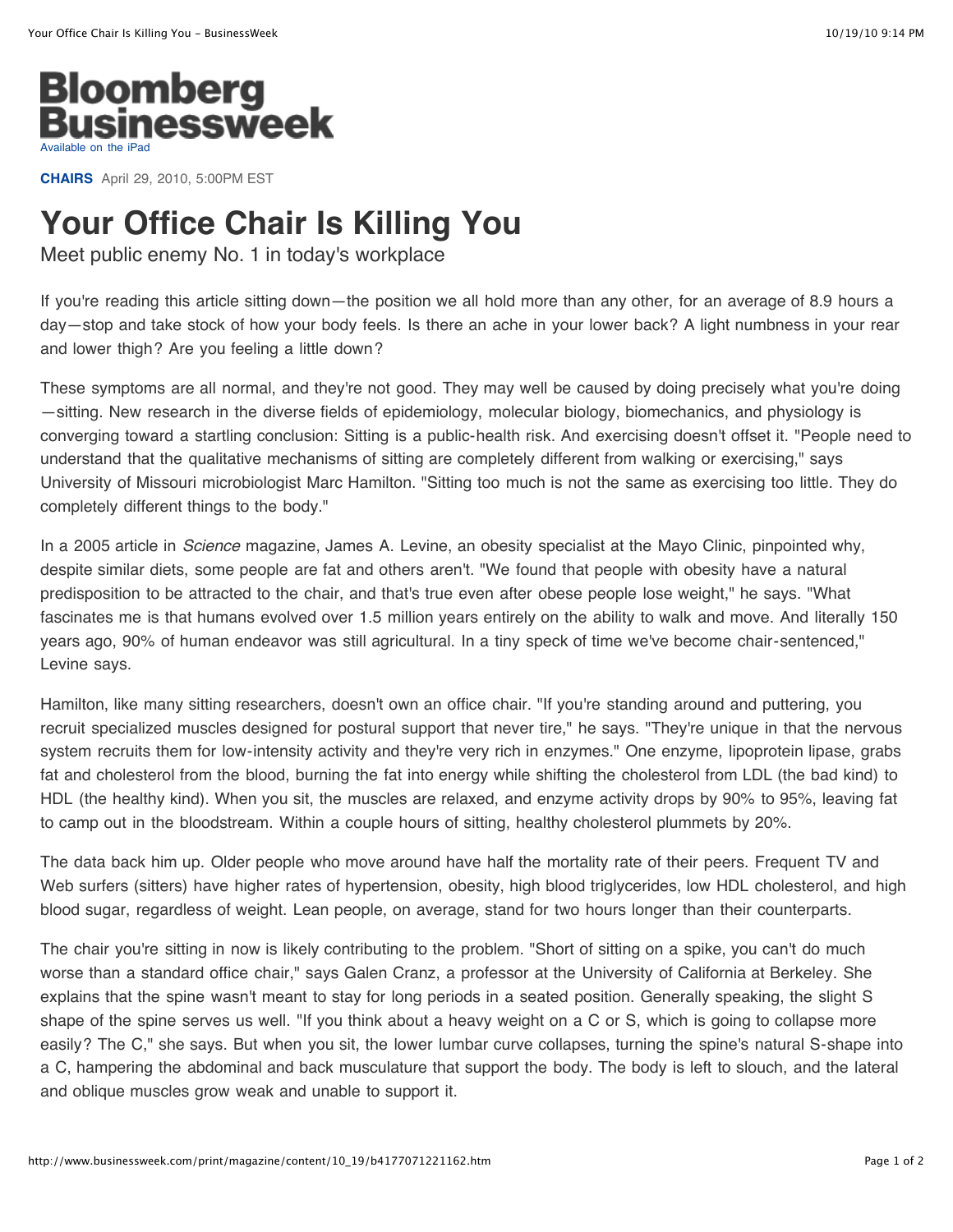

**CHAIRS** April 29, 2010, 5:00PM EST

## **Your Office Chair Is Killing You**

Meet public enemy No. 1 in today's workplace

If you're reading this article sitting down—the position we all hold more than any other, for an average of 8.9 hours a day—stop and take stock of how your body feels. Is there an ache in your lower back? A light numbness in your rear and lower thigh? Are you feeling a little down?

These symptoms are all normal, and they're not good. They may well be caused by doing precisely what you're doing —sitting. New research in the diverse fields of epidemiology, molecular biology, biomechanics, and physiology is converging toward a startling conclusion: Sitting is a public-health risk. And exercising doesn't offset it. "People need to understand that the qualitative mechanisms of sitting are completely different from walking or exercising," says University of Missouri microbiologist Marc Hamilton. "Sitting too much is not the same as exercising too little. They do completely different things to the body."

In a 2005 article in *Science* magazine, James A. Levine, an obesity specialist at the Mayo Clinic, pinpointed why, despite similar diets, some people are fat and others aren't. "We found that people with obesity have a natural predisposition to be attracted to the chair, and that's true even after obese people lose weight," he says. "What fascinates me is that humans evolved over 1.5 million years entirely on the ability to walk and move. And literally 150 years ago, 90% of human endeavor was still agricultural. In a tiny speck of time we've become chair-sentenced," Levine says.

Hamilton, like many sitting researchers, doesn't own an office chair. "If you're standing around and puttering, you recruit specialized muscles designed for postural support that never tire," he says. "They're unique in that the nervous system recruits them for low-intensity activity and they're very rich in enzymes." One enzyme, lipoprotein lipase, grabs fat and cholesterol from the blood, burning the fat into energy while shifting the cholesterol from LDL (the bad kind) to HDL (the healthy kind). When you sit, the muscles are relaxed, and enzyme activity drops by 90% to 95%, leaving fat to camp out in the bloodstream. Within a couple hours of sitting, healthy cholesterol plummets by 20%.

The data back him up. Older people who move around have half the mortality rate of their peers. Frequent TV and Web surfers (sitters) have higher rates of hypertension, obesity, high blood triglycerides, low HDL cholesterol, and high blood sugar, regardless of weight. Lean people, on average, stand for two hours longer than their counterparts.

The chair you're sitting in now is likely contributing to the problem. "Short of sitting on a spike, you can't do much worse than a standard office chair," says Galen Cranz, a professor at the University of California at Berkeley. She explains that the spine wasn't meant to stay for long periods in a seated position. Generally speaking, the slight S shape of the spine serves us well. "If you think about a heavy weight on a C or S, which is going to collapse more easily? The C," she says. But when you sit, the lower lumbar curve collapses, turning the spine's natural S-shape into a C, hampering the abdominal and back musculature that support the body. The body is left to slouch, and the lateral and oblique muscles grow weak and unable to support it.